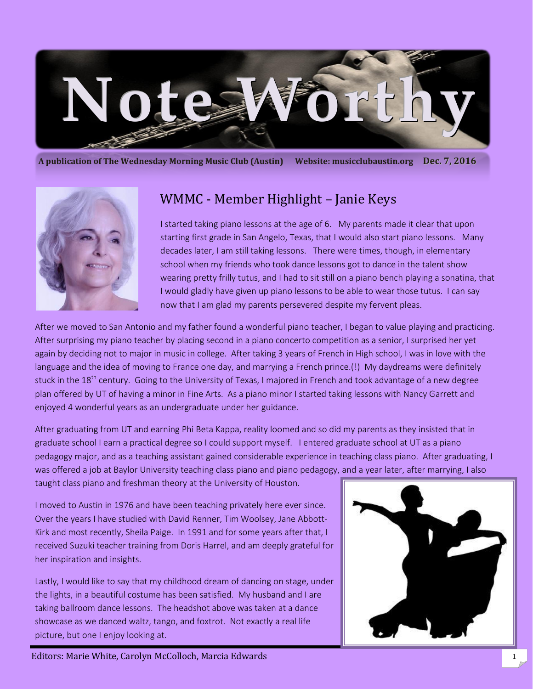

**A publication of The Wednesday Morning Music Club (Austin) Website: musicclubaustin.org Dec. 7, 2016**



# WMMC - Member Highlight – Janie Keys

I started taking piano lessons at the age of 6. My parents made it clear that upon starting first grade in San Angelo, Texas, that I would also start piano lessons. Many decades later, I am still taking lessons. There were times, though, in elementary school when my friends who took dance lessons got to dance in the talent show wearing pretty frilly tutus, and I had to sit still on a piano bench playing a sonatina, that I would gladly have given up piano lessons to be able to wear those tutus. I can say now that I am glad my parents persevered despite my fervent pleas.

After we moved to San Antonio and my father found a wonderful piano teacher, I began to value playing and practicing. After surprising my piano teacher by placing second in a piano concerto competition as a senior, I surprised her yet again by deciding not to major in music in college. After taking 3 years of French in High school, I was in love with the language and the idea of moving to France one day, and marrying a French prince.(!) My daydreams were definitely stuck in the 18<sup>th</sup> century. Going to the University of Texas, I majored in French and took advantage of a new degree plan offered by UT of having a minor in Fine Arts. As a piano minor I started taking lessons with Nancy Garrett and enjoyed 4 wonderful years as an undergraduate under her guidance.

After graduating from UT and earning Phi Beta Kappa, reality loomed and so did my parents as they insisted that in graduate school I earn a practical degree so I could support myself. I entered graduate school at UT as a piano pedagogy major, and as a teaching assistant gained considerable experience in teaching class piano. After graduating, I was offered a job at Baylor University teaching class piano and piano pedagogy, and a year later, after marrying, I also taught class piano and freshman theory at the University of Houston.

I moved to Austin in 1976 and have been teaching privately here ever since. Over the years I have studied with David Renner, Tim Woolsey, Jane Abbott-Kirk and most recently, Sheila Paige. In 1991 and for some years after that, I received Suzuki teacher training from Doris Harrel, and am deeply grateful for her inspiration and insights.

Lastly, I would like to say that my childhood dream of dancing on stage, under the lights, in a beautiful costume has been satisfied. My husband and I are taking ballroom dance lessons. The headshot above was taken at a dance showcase as we danced waltz, tango, and foxtrot. Not exactly a real life picture, but one I enjoy looking at.



Editors: Marie White, Carolyn McColloch, Marcia Edwards 1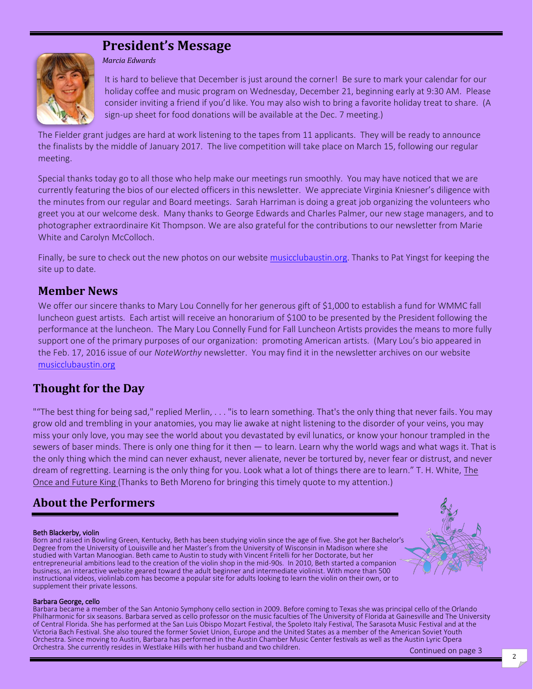# **President's Message**



*Marcia Edwards*

It is hard to believe that December is just around the corner! Be sure to mark your calendar for our holiday coffee and music program on Wednesday, December 21, beginning early at 9:30 AM. Please consider inviting a friend if you'd like. You may also wish to bring a favorite holiday treat to share. (A sign-up sheet for food donations will be available at the Dec. 7 meeting.)

The Fielder grant judges are hard at work listening to the tapes from 11 applicants. They will be ready to announce the finalists by the middle of January 2017. The live competition will take place on March 15, following our regular meeting.

Special thanks today go to all those who help make our meetings run smoothly. You may have noticed that we are currently featuring the bios of our elected officers in this newsletter. We appreciate Virginia Kniesner's diligence with the minutes from our regular and Board meetings. Sarah Harriman is doing a great job organizing the volunteers who greet you at our welcome desk. Many thanks to George Edwards and Charles Palmer, our new stage managers, and to photographer extraordinaire Kit Thompson. We are also grateful for the contributions to our newsletter from Marie White and Carolyn McColloch.

Finally, be sure to check out the new photos on our website [musicclubaustin.org.](musicclubaustin.org) Thanks to Pat Yingst for keeping the site up to date.

## **Member News**

We offer our sincere thanks to Mary Lou Connelly for her generous gift of \$1,000 to establish a fund for WMMC fall luncheon guest artists. Each artist will receive an honorarium of \$100 to be presented by the President following the performance at the luncheon. The Mary Lou Connelly Fund for Fall Luncheon Artists provides the means to more fully support one of the primary purposes of our organization: promoting American artists. (Mary Lou's bio appeared in the Feb. 17, 2016 issue of our *NoteWorthy* newsletter. You may find it in the newsletter archives on our website <musicclubaustin.org>

## **Thought for the Day**

""The best thing for being sad," replied Merlin, . . . "is to learn something. That's the only thing that never fails. You may grow old and trembling in your anatomies, you may lie awake at night listening to the disorder of your veins, you may miss your only love, you may see the world about you devastated by evil lunatics, or know your honour trampled in the sewers of baser minds. There is only one thing for it then  $-$  to learn. Learn why the world wags and what wags it. That is the only thing which the mind can never exhaust, never alienate, never be tortured by, never fear or distrust, and never dream of regretting. Learning is the only thing for you. Look what a lot of things there are to learn." T. H. White, The Once and Future King (Thanks to Beth Moreno for bringing this timely quote to my attention.)

## **About the Performers**

**Beth Blackerby, violin**<br>Born and raised in Bowling Green, Kentucky, Beth has been studying violin since the age of five. She got her Bachelor's Degree from the University of Louisville and her Master's from the University of Wisconsin in Madison where she studied with Vartan Manoogian. Beth came to Austin to study with Vincent Fritelli for her Doctorate, but her entrepreneurial ambitions lead to the creation of the violin shop in the mid-90s. In 2010, Beth started a companion business, an interactive website geared toward the adult beginner and intermediate violinist. With more than 500 instructional videos, violinlab.com has become a popular site for adults looking to learn the violin on their own, or to supplement their private lessons.



Barbara George, cello<br>Barbara became a member of the San Antonio Symphony cello section in 2009. Before coming to Texas she was principal cello of the Orlando<br>Philharmonic for six seasons. Barbara served as cello professor of Central Florida. She has performed at the San Luis Obispo Mozart Festival, the Spoleto Italy Festival, The Sarasota Music Festival and at the Victoria Bach Festival. She also toured the former Soviet Union, Europe and the United States as a member of the American Soviet Youth Orchestra. Since moving to Austin, Barbara has performed in the Austin Chamber Music Center festivals as well as the Austin Lyric Opera Orchestra. She currently resides in Westlake Hills with her husband and two children. Continued on page 3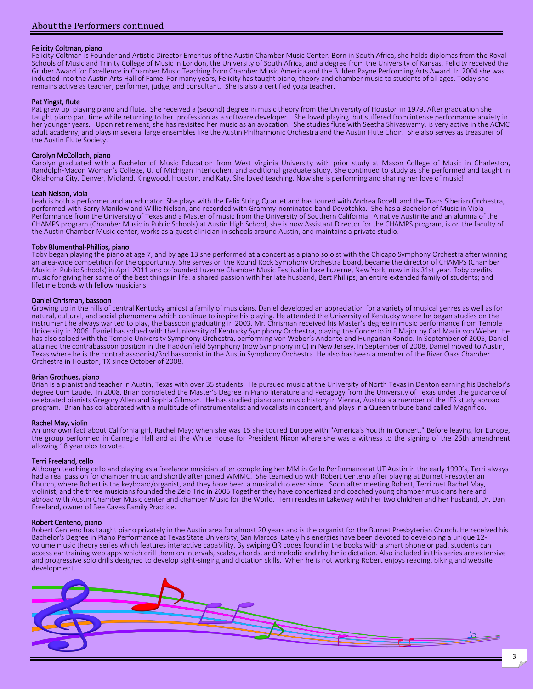**Felicity Coltman, piano**<br>Felicity Coltman is Founder and Artistic Director Emeritus of the Austin Chamber Music Center. Born in South Africa, she holds diplomas from the Royal Schools of Music and Trinity College of Music in London, the University of South Africa, and a degree from the University of Kansas. Felicity received the Gruber Award for Excellence in Chamber Music Teaching from Chamber Music America and the B. Iden Payne Performing Arts Award. In 2004 she was inducted into the Austin Arts Hall of Fame. For many years, Felicity has taught piano, theory and chamber music to students of all ages. Today she remains active as teacher, performer, judge, and consultant. She is also a certified yoga teacher.

Pat Yingst, flute<br>Pat grew up playing piano and flute. She received a (second) degree in music theory from the University of Houston in 1979. After graduation she taught piano part time while returning to her profession as a software developer. She loved playing but suffered from intense performance anxiety in her younger years. Upon retirement, she has revisited her music as an avocation. She studies flute with Seetha Shivaswamy, is very active in the ACMC adult academy, and plays in several large ensembles like the Austin Philharmonic Orchestra and the Austin Flute Choir. She also serves as treasurer of the Austin Flute Society.

**Carolyn McColloch, piano**<br>Carolyn graduated with a Bachelor of Music Education from West Virginia University with prior study at Mason College of Music in Charleston, Randolph-Macon Woman's College, U. of Michigan Interlochen, and additional graduate study. She continued to study as she performed and taught in Oklahoma City, Denver, Midland, Kingwood, Houston, and Katy. She loved teaching. Now she is performing and sharing her love of music!<br>Leah Nelson, viola

Leah is both a performer and an educator. She plays with the Felix String Quartet and has toured with Andrea Bocelli and the Trans Siberian Orchestra, performed with Barry Manilow and Willie Nelson, and recorded with Grammy-nominated band Devotchka. She has a Bachelor of Music in Viola Performance from the University of Texas and a Master of music from the University of Southern California. A native Austinite and an alumna of the CHAMPS program (Chamber Music in Public Schools) at Austin High School, she is now Assistant Director for the CHAMPS program, is on the faculty of the Austin Chamber Music center, works as a guest clinician in schools around Austin, and maintains a private studio.

Toby Blumenthal-Phillips, piano<br>Toby began playing the piano at age 7, and by age 13 she performed at a concert as a piano soloist with the Chicago Symphony Orchestra after winning<br>an area-wide competition for the opportun Music in Public Schools) in April 2011 and cofounded Luzerne Chamber Music Festival in Lake Luzerne, New York, now in its 31st year. Toby credits music for giving her some of the best things in life: a shared passion with her late husband, Bert Phillips; an entire extended family of students; and lifetime bonds with fellow musicians.

Daniel Chrisman, bassoon<br>Growing up in the hills of central Kentucky amidst a family of musicians, Daniel developed an appreciation for a variety of musical genres as well as for natural, cultural, and social phenomena which continue to inspire his playing. He attended the University of Kentucky where he began studies on the instrument he always wanted to play, the bassoon graduating in 2003. Mr. Chrisman received his Master's degree in music performance from Temple University in 2006. Daniel has soloed with the University of Kentucky Symphony Orchestra, playing the Concerto in F Major by Carl Maria von Weber. He has also soloed with the Temple University Symphony Orchestra, performing von Weber's Andante and Hungarian Rondo. In September of 2005, Daniel attained the contrabassoon position in the Haddonfield Symphony (now Symphony in C) in New Jersey. In September of 2008, Daniel moved to Austin, Texas where he is the contrabassoonist/3rd bassoonist in the Austin Symphony Orchestra. He also has been a member of the River Oaks Chamber Orchestra in Houston, TX since October of 2008.

**Brian Grothues, piano**<br>Brian is a pianist and teacher in Austin, Texas with over 35 students. He pursued music at the University of North Texas in Denton earning his Bachelor's degree Cum Laude. In 2008, Brian completed the Master's Degree in Piano literature and Pedagogy from the University of Texas under the guidance of celebrated pianists Gregory Allen and Sophia Gilmson. He has studied piano and music history in Vienna, Austria a a member of the IES study abroad program. Brian has collaborated with a multitude of instrumentalist and vocalists in concert, and plays in a Queen tribute band called Magnifico.

Rachel May, violin<br>An unknown fact about California girl, Rachel May: when she was 15 she toured Europe with "America's Youth in Concert." Before leaving for Europe, the group performed in Carnegie Hall and at the White House for President Nixon where she was a witness to the signing of the 26th amendment allowing 18 year olds to vote.

**Terri Freeland, cello**<br>Although teaching cello and playing as a freelance musician after completing her MM in Cello Performance at UT Austin in the early 1990's, Terri always had a real passion for chamber music and shortly after joined WMMC. She teamed up with Robert Centeno after playing at Burnet Presbyterian Church, where Robert is the keyboard/organist, and they have been a musical duo ever since. Soon after meeting Robert, Terri met Rachel May, violinist, and the three musicians founded the Zelo Trio in 2005 Together they have concertized and coached young chamber musicians here and abroad with Austin Chamber Music center and chamber Music for the World. Terri resides in Lakeway with her two children and her husband, Dr. Dan Freeland, owner of Bee Caves Family Practice.

**Robert Centeno, piano**<br>Robert Centeno has taught piano privately in the Austin area for almost 20 years and is the organist for the Burnet Presbyterian Church. He received his Bachelor's Degree in Piano Performance at Texas State University, San Marcos. Lately his energies have been devoted to developing a unique 12-<br>volume music theory series which features interactive capability. By swiping QR access ear training web apps which drill them on intervals, scales, chords, and melodic and rhythmic dictation. Also included in this series are extensive and progressive solo drills designed to develop sight-singing and dictation skills. When he is not working Robert enjoys reading, biking and website development.